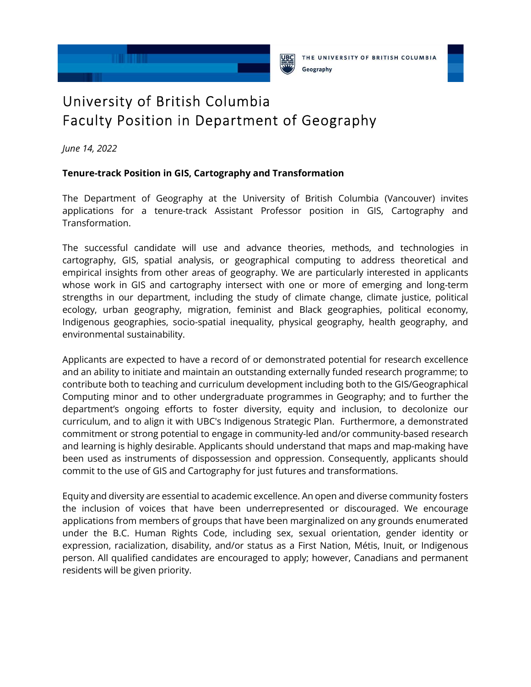



THE UNIVERSITY OF BRITISH COLUMBIA Geography



## University of British Columbia Faculty Position in Department of Geography

*June 14, 2022* 

## **Tenure-track Position in GIS, Cartography and Transformation**

The Department of Geography at the University of British Columbia (Vancouver) invites applications for a tenure-track Assistant Professor position in GIS, Cartography and Transformation.

The successful candidate will use and advance theories, methods, and technologies in cartography, GIS, spatial analysis, or geographical computing to address theoretical and empirical insights from other areas of geography. We are particularly interested in applicants whose work in GIS and cartography intersect with one or more of emerging and long-term strengths in our department, including the study of climate change, climate justice, political ecology, urban geography, migration, feminist and Black geographies, political economy, Indigenous geographies, socio-spatial inequality, physical geography, health geography, and environmental sustainability.

Applicants are expected to have a record of or demonstrated potential for research excellence and an ability to initiate and maintain an outstanding externally funded research programme; to contribute both to teaching and curriculum development including both to the GIS/Geographical Computing minor and to other undergraduate programmes in Geography; and to further the department's ongoing efforts to foster diversity, equity and inclusion, to decolonize our curriculum, and to align it with UBC's Indigenous Strategic Plan. Furthermore, a demonstrated commitment or strong potential to engage in community-led and/or community-based research and learning is highly desirable. Applicants should understand that maps and map-making have been used as instruments of dispossession and oppression. Consequently, applicants should commit to the use of GIS and Cartography for just futures and transformations.

Equity and diversity are essential to academic excellence. An open and diverse community fosters the inclusion of voices that have been underrepresented or discouraged. We encourage applications from members of groups that have been marginalized on any grounds enumerated under the B.C. Human Rights Code, including sex, sexual orientation, gender identity or expression, racialization, disability, and/or status as a First Nation, Métis, Inuit, or Indigenous person. All qualified candidates are encouraged to apply; however, Canadians and permanent residents will be given priority.